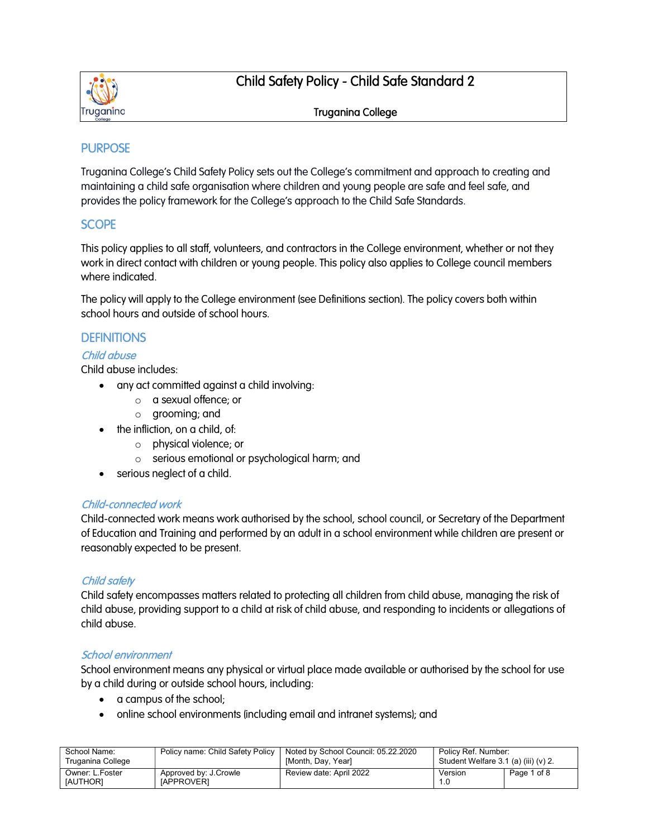

# Child Safety Policy - Child Safe Standard 2

#### Truganina College

# **PURPOSE**

Truganina College's Child Safety Policy sets out the College's commitment and approach to creating and maintaining a child safe organisation where children and young people are safe and feel safe, and provides the policy framework for the College's approach to the Child Safe Standards.

#### **SCOPE**

This policy applies to all staff, volunteers, and contractors in the College environment, whether or not they work in direct contact with children or young people. This policy also applies to College council members where indicated.

The policy will apply to the College environment (see Definitions section). The policy covers both within school hours and outside of school hours.

#### **DEFINITIONS**

#### Child abuse

Child abuse includes:

- any act committed against a child involving:
	- o a sexual offence; or
	- o grooming; and
- the infliction, on a child, of:
	- o physical violence; or
	- o serious emotional or psychological harm; and
- serious neglect of a child.

#### Child-connected work

Child-connected work means work authorised by the school, school council, or Secretary of the Department of Education and Training and performed by an adult in a school environment while children are present or reasonably expected to be present.

#### Child safety

Child safety encompasses matters related to protecting all children from child abuse, managing the risk of child abuse, providing support to a child at risk of child abuse, and responding to incidents or allegations of child abuse.

#### School environment

School environment means any physical or virtual place made available or authorised by the school for use by a child during or outside school hours, including:

- a campus of the school;
- online school environments (including email and intranet systems); and

| School Name:                       | Policy name: Child Safety Policy           | Noted by School Council: 05.22.2020 | Policy Ref. Number:                      |             |
|------------------------------------|--------------------------------------------|-------------------------------------|------------------------------------------|-------------|
| Truganina College                  |                                            | [Month, Day, Year]                  | Student Welfare $3.1$ (a) (iii) (v) $2.$ |             |
| Owner: L.Foster<br><b>IAUTHORI</b> | Approved by: J.Crowle<br><b>IAPPROVERI</b> | Review date: April 2022             | Version                                  | Page 1 of 8 |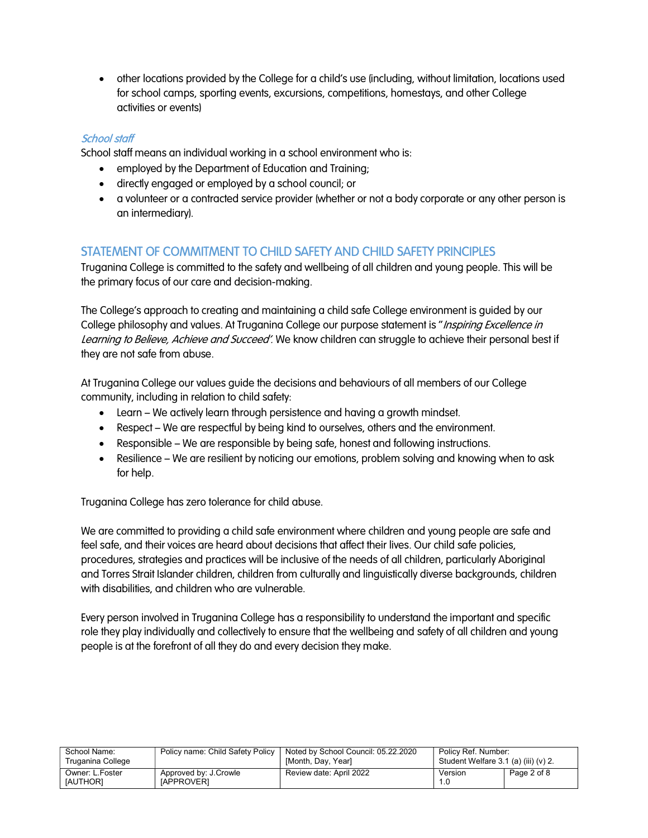other locations provided by the College for a child's use (including, without limitation, locations used for school camps, sporting events, excursions, competitions, homestays, and other College activities or events)

#### School staff

School staff means an individual working in a school environment who is:

- employed by the Department of Education and Training;
- directly engaged or employed by a school council; or
- a volunteer or a contracted service provider (whether or not a body corporate or any other person is an intermediary).

### STATEMENT OF COMMITMENT TO CHILD SAFETY AND CHILD SAFETY PRINCIPLES

Truganina College is committed to the safety and wellbeing of all children and young people. This will be the primary focus of our care and decision-making.

The College's approach to creating and maintaining a child safe College environment is guided by our College philosophy and values. At Truganina College our purpose statement is "Inspiring Excellence in Learning to Believe, Achieve and Succeed'. We know children can struggle to achieve their personal best if they are not safe from abuse.

At Truganina College our values guide the decisions and behaviours of all members of our College community, including in relation to child safety:

- Learn We actively learn through persistence and having a growth mindset.
- Respect We are respectful by being kind to ourselves, others and the environment.
- Responsible We are responsible by being safe, honest and following instructions.
- Resilience We are resilient by noticing our emotions, problem solving and knowing when to ask for help.

Truganina College has zero tolerance for child abuse.

We are committed to providing a child safe environment where children and young people are safe and feel safe, and their voices are heard about decisions that affect their lives. Our child safe policies, procedures, strategies and practices will be inclusive of the needs of all children, particularly Aboriginal and Torres Strait Islander children, children from culturally and linguistically diverse backgrounds, children with disabilities, and children who are vulnerable.

Every person involved in Truganina College has a responsibility to understand the important and specific role they play individually and collectively to ensure that the wellbeing and safety of all children and young people is at the forefront of all they do and every decision they make.

| School Name:                |                                            | Policy name: Child Safety Policy   Noted by School Council: 05.22.2020 | Policy Ref. Number:                  |             |
|-----------------------------|--------------------------------------------|------------------------------------------------------------------------|--------------------------------------|-------------|
| Truganina College           |                                            | [Month, Day, Year]                                                     | Student Welfare 3.1 (a) (iii) (v) 2. |             |
| Owner: L.Foster<br>[AUTHOR] | Approved by: J.Crowle<br><b>IAPPROVERI</b> | Review date: April 2022                                                | Version                              | Page 2 of 8 |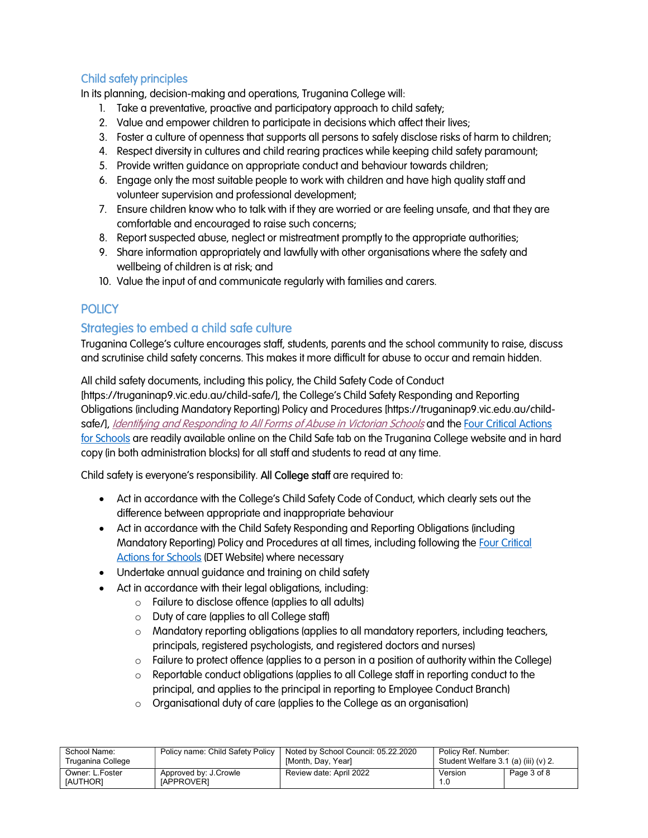# Child safety principles

In its planning, decision-making and operations, Truganina College will:

- 1. Take a preventative, proactive and participatory approach to child safety;
- 2. Value and empower children to participate in decisions which affect their lives;
- 3. Foster a culture of openness that supports all persons to safely disclose risks of harm to children;
- 4. Respect diversity in cultures and child rearing practices while keeping child safety paramount;
- 5. Provide written guidance on appropriate conduct and behaviour towards children;
- 6. Engage only the most suitable people to work with children and have high quality staff and volunteer supervision and professional development;
- 7. Ensure children know who to talk with if they are worried or are feeling unsafe, and that they are comfortable and encouraged to raise such concerns;
- 8. Report suspected abuse, neglect or mistreatment promptly to the appropriate authorities;
- 9. Share information appropriately and lawfully with other organisations where the safety and wellbeing of children is at risk; and
- 10. Value the input of and communicate regularly with families and carers.

# **POLICY**

# Strategies to embed a child safe culture

Truganina College's culture encourages staff, students, parents and the school community to raise, discuss and scrutinise child safety concerns. This makes it more difficult for abuse to occur and remain hidden.

All child safety documents, including this policy, the Child Safety Code of Conduct [https://truganinap9.vic.edu.au/child-safe/], the College's Child Safety Responding and Reporting Obligations (including Mandatory Reporting) Policy and Procedures [https://truganinap9.vic.edu.au/childsafe/], Identifying and Responding to All Forms of Abuse in Victorian Schools and the Four Critical Actions for Schools are readily available online on the Child Safe tab on the Truganina College website and in hard copy (in both administration blocks) for all staff and students to read at any time.

Child safety is everyone's responsibility. All College staff are required to:

- Act in accordance with the College's Child Safety Code of Conduct, which clearly sets out the difference between appropriate and inappropriate behaviour
- Act in accordance with the Child Safety Responding and Reporting Obligations (including Mandatory Reporting) Policy and Procedures at all times, including following the Four Critical Actions for Schools (DET Website) where necessary
- Undertake annual guidance and training on child safety
- Act in accordance with their legal obligations, including:
	- o Failure to disclose offence (applies to all adults)
	- o Duty of care (applies to all College staff)
	- $\circ$  Mandatory reporting obligations (applies to all mandatory reporters, including teachers, principals, registered psychologists, and registered doctors and nurses)
	- $\circ$  Failure to protect offence (applies to a person in a position of authority within the College)
	- $\circ$  Reportable conduct obligations (applies to all College staff in reporting conduct to the principal, and applies to the principal in reporting to Employee Conduct Branch)
	- o Organisational duty of care (applies to the College as an organisation)

| School Name:                       | Policy name: Child Safety Policy           | Noted by School Council: 05.22.2020 | Policy Ref. Number:                      |             |
|------------------------------------|--------------------------------------------|-------------------------------------|------------------------------------------|-------------|
| Truganina College                  |                                            | [Month, Day, Year]                  | Student Welfare $3.1$ (a) (iii) (v) $2.$ |             |
| Owner: L.Foster<br><b>IAUTHORI</b> | Approved by: J.Crowle<br><b>IAPPROVERI</b> | Review date: April 2022             | Version                                  | Page 3 of 8 |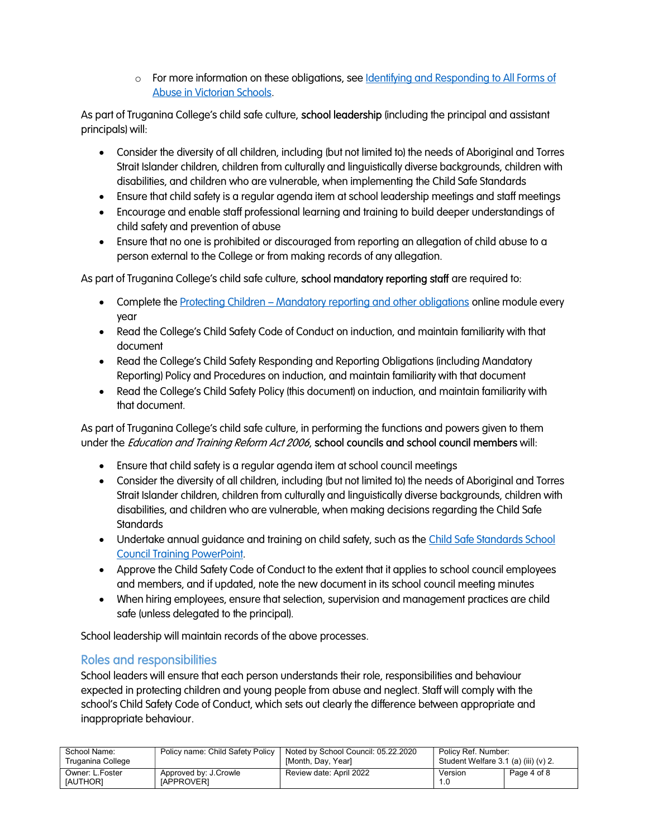$\circ$  For more information on these obligations, see Identifying and Responding to All Forms of Abuse in Victorian Schools.

As part of Truganina College's child safe culture, school leadership (including the principal and assistant principals) will:

- Consider the diversity of all children, including (but not limited to) the needs of Aboriginal and Torres Strait Islander children, children from culturally and linguistically diverse backgrounds, children with disabilities, and children who are vulnerable, when implementing the Child Safe Standards
- Ensure that child safety is a regular agenda item at school leadership meetings and staff meetings
- Encourage and enable staff professional learning and training to build deeper understandings of child safety and prevention of abuse
- Ensure that no one is prohibited or discouraged from reporting an allegation of child abuse to a person external to the College or from making records of any allegation.

As part of Truganina College's child safe culture, school mandatory reporting staff are required to:

- Complete the Protecting Children Mandatory reporting and other obligations online module every year
- Read the College's Child Safety Code of Conduct on induction, and maintain familiarity with that document
- Read the College's Child Safety Responding and Reporting Obligations (including Mandatory Reporting) Policy and Procedures on induction, and maintain familiarity with that document
- Read the College's Child Safety Policy (this document) on induction, and maintain familiarity with that document.

As part of Truganina College's child safe culture, in performing the functions and powers given to them under the *Education and Training Reform Act 2006*, school councils and school council members will:

- Ensure that child safety is a regular agenda item at school council meetings
- Consider the diversity of all children, including (but not limited to) the needs of Aboriginal and Torres Strait Islander children, children from culturally and linguistically diverse backgrounds, children with disabilities, and children who are vulnerable, when making decisions regarding the Child Safe **Standards**
- Undertake annual guidance and training on child safety, such as the Child Safe Standards School Council Training PowerPoint.
- Approve the Child Safety Code of Conduct to the extent that it applies to school council employees and members, and if updated, note the new document in its school council meeting minutes
- When hiring employees, ensure that selection, supervision and management practices are child safe (unless delegated to the principal).

School leadership will maintain records of the above processes.

#### Roles and responsibilities

School leaders will ensure that each person understands their role, responsibilities and behaviour expected in protecting children and young people from abuse and neglect. Staff will comply with the school's Child Safety Code of Conduct, which sets out clearly the difference between appropriate and inappropriate behaviour.

| School Name:                       | Policy name: Child Safety Policy           | Noted by School Council: 05.22.2020 | Policy Ref. Number:                      |             |
|------------------------------------|--------------------------------------------|-------------------------------------|------------------------------------------|-------------|
| Truganina College                  |                                            | [Month, Dav, Year]                  | Student Welfare $3.1$ (a) (iii) (v) $2.$ |             |
| Owner: L.Foster<br><b>IAUTHORI</b> | Approved by: J.Crowle<br><b>IAPPROVERI</b> | Review date: April 2022             | Version                                  | Page 4 of 8 |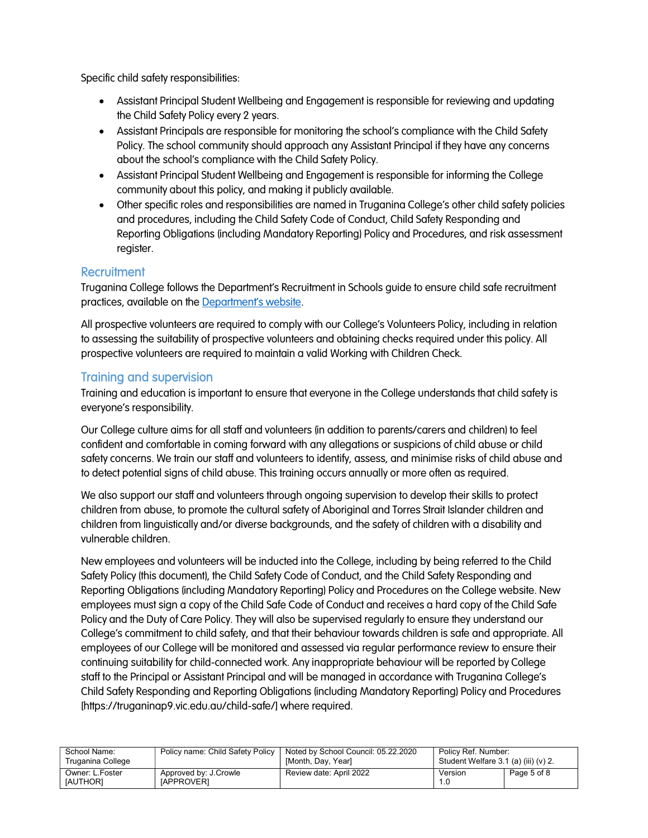Specific child safety responsibilities:

- Assistant Principal Student Wellbeing and Engagement is responsible for reviewing and updating the Child Safety Policy every 2 years.
- Assistant Principals are responsible for monitoring the school's compliance with the Child Safety Policy. The school community should approach any Assistant Principal if they have any concerns about the school's compliance with the Child Safety Policy.
- Assistant Principal Student Wellbeing and Engagement is responsible for informing the College community about this policy, and making it publicly available.
- Other specific roles and responsibilities are named in Truganina College's other child safety policies and procedures, including the Child Safety Code of Conduct, Child Safety Responding and Reporting Obligations (including Mandatory Reporting) Policy and Procedures, and risk assessment register.

### **Recruitment**

Truganina College follows the Department's Recruitment in Schools guide to ensure child safe recruitment practices, available on the Department's website.

All prospective volunteers are required to comply with our College's Volunteers Policy, including in relation to assessing the suitability of prospective volunteers and obtaining checks required under this policy. All prospective volunteers are required to maintain a valid Working with Children Check.

#### Training and supervision

Training and education is important to ensure that everyone in the College understands that child safety is everyone's responsibility.

Our College culture aims for all staff and volunteers (in addition to parents/carers and children) to feel confident and comfortable in coming forward with any allegations or suspicions of child abuse or child safety concerns. We train our staff and volunteers to identify, assess, and minimise risks of child abuse and to detect potential signs of child abuse. This training occurs annually or more often as required.

We also support our staff and volunteers through ongoing supervision to develop their skills to protect children from abuse, to promote the cultural safety of Aboriginal and Torres Strait Islander children and children from linguistically and/or diverse backgrounds, and the safety of children with a disability and vulnerable children.

New employees and volunteers will be inducted into the College, including by being referred to the Child Safety Policy (this document), the Child Safety Code of Conduct, and the Child Safety Responding and Reporting Obligations (including Mandatory Reporting) Policy and Procedures on the College website. New employees must sign a copy of the Child Safe Code of Conduct and receives a hard copy of the Child Safe Policy and the Duty of Care Policy. They will also be supervised regularly to ensure they understand our College's commitment to child safety, and that their behaviour towards children is safe and appropriate. All employees of our College will be monitored and assessed via regular performance review to ensure their continuing suitability for child-connected work. Any inappropriate behaviour will be reported by College staff to the Principal or Assistant Principal and will be managed in accordance with Truganina College's Child Safety Responding and Reporting Obligations (including Mandatory Reporting) Policy and Procedures [https://truganinap9.vic.edu.au/child-safe/] where required.

| School Name:                | Policy name: Child Safety Policy           | Noted by School Council: 05.22.2020 | Policy Ref. Number:                  |             |
|-----------------------------|--------------------------------------------|-------------------------------------|--------------------------------------|-------------|
| Truganina College           |                                            | [Month, Day, Year]                  | Student Welfare 3.1 (a) (iii) (v) 2. |             |
| Owner: L.Foster<br>[AUTHOR] | Approved by: J.Crowle<br><b>IAPPROVERI</b> | Review date: April 2022             | Version                              | Page 5 of 8 |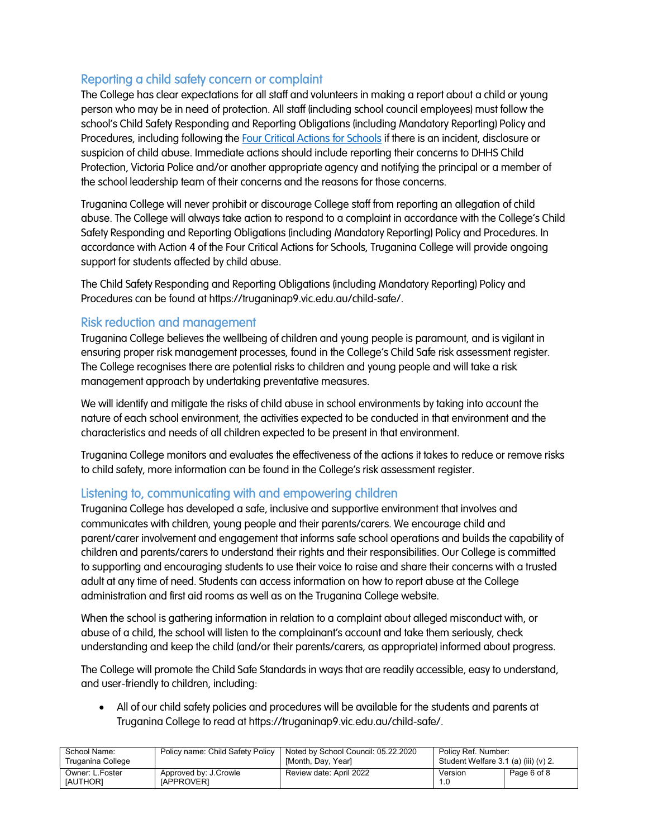# Reporting a child safety concern or complaint

The College has clear expectations for all staff and volunteers in making a report about a child or young person who may be in need of protection. All staff (including school council employees) must follow the school's Child Safety Responding and Reporting Obligations (including Mandatory Reporting) Policy and Procedures, including following the Four Critical Actions for Schools if there is an incident, disclosure or suspicion of child abuse. Immediate actions should include reporting their concerns to DHHS Child Protection, Victoria Police and/or another appropriate agency and notifying the principal or a member of the school leadership team of their concerns and the reasons for those concerns.

Truganina College will never prohibit or discourage College staff from reporting an allegation of child abuse. The College will always take action to respond to a complaint in accordance with the College's Child Safety Responding and Reporting Obligations (including Mandatory Reporting) Policy and Procedures. In accordance with Action 4 of the Four Critical Actions for Schools, Truganina College will provide ongoing support for students affected by child abuse.

The Child Safety Responding and Reporting Obligations (including Mandatory Reporting) Policy and Procedures can be found at https://truganinap9.vic.edu.au/child-safe/.

### Risk reduction and management

Truganina College believes the wellbeing of children and young people is paramount, and is vigilant in ensuring proper risk management processes, found in the College's Child Safe risk assessment register. The College recognises there are potential risks to children and young people and will take a risk management approach by undertaking preventative measures.

We will identify and mitigate the risks of child abuse in school environments by taking into account the nature of each school environment, the activities expected to be conducted in that environment and the characteristics and needs of all children expected to be present in that environment.

Truganina College monitors and evaluates the effectiveness of the actions it takes to reduce or remove risks to child safety, more information can be found in the College's risk assessment register.

# Listening to, communicating with and empowering children

Truganina College has developed a safe, inclusive and supportive environment that involves and communicates with children, young people and their parents/carers. We encourage child and parent/carer involvement and engagement that informs safe school operations and builds the capability of children and parents/carers to understand their rights and their responsibilities. Our College is committed to supporting and encouraging students to use their voice to raise and share their concerns with a trusted adult at any time of need. Students can access information on how to report abuse at the College administration and first aid rooms as well as on the Truganina College website.

When the school is gathering information in relation to a complaint about alleged misconduct with, or abuse of a child, the school will listen to the complainant's account and take them seriously, check understanding and keep the child (and/or their parents/carers, as appropriate) informed about progress.

The College will promote the Child Safe Standards in ways that are readily accessible, easy to understand, and user-friendly to children, including:

 All of our child safety policies and procedures will be available for the students and parents at Truganina College to read at https://truganinap9.vic.edu.au/child-safe/.

| School Name:                | Policy name: Child Safety Policy           | Noted by School Council: 05.22.2020 | Policy Ref. Number:                      |             |
|-----------------------------|--------------------------------------------|-------------------------------------|------------------------------------------|-------------|
| Truganina College           |                                            | [Month, Day, Year]                  | Student Welfare $3.1$ (a) (iii) (v) $2.$ |             |
| Owner: L.Foster<br>[AUTHOR] | Approved by: J.Crowle<br><b>IAPPROVERI</b> | Review date: April 2022             | Version<br>1.0                           | Page 6 of 8 |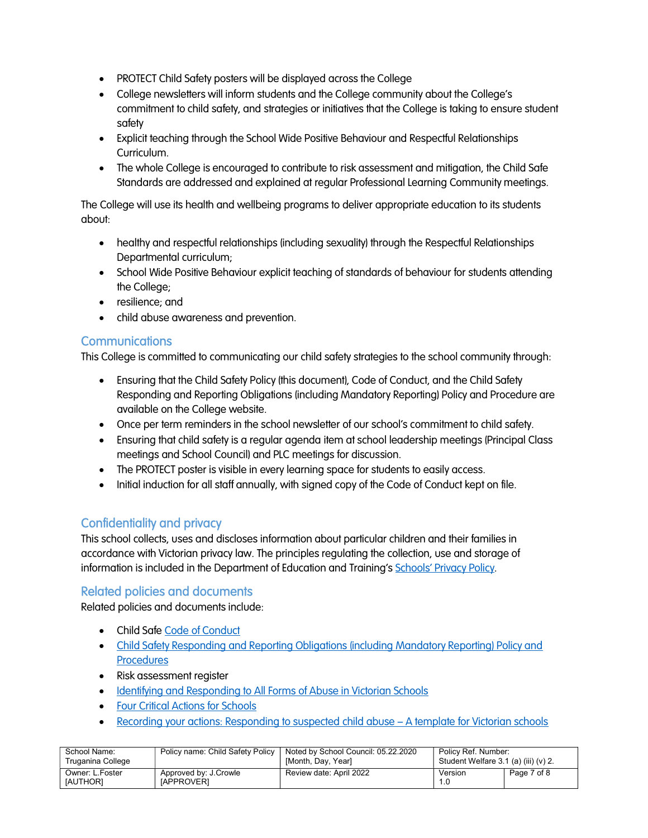- PROTECT Child Safety posters will be displayed across the College
- College newsletters will inform students and the College community about the College's commitment to child safety, and strategies or initiatives that the College is taking to ensure student safety
- Explicit teaching through the School Wide Positive Behaviour and Respectful Relationships Curriculum.
- The whole College is encouraged to contribute to risk assessment and mitigation, the Child Safe Standards are addressed and explained at regular Professional Learning Community meetings.

The College will use its health and wellbeing programs to deliver appropriate education to its students about:

- healthy and respectful relationships (including sexuality) through the Respectful Relationships Departmental curriculum;
- School Wide Positive Behaviour explicit teaching of standards of behaviour for students attending the College;
- resilience; and
- child abuse awareness and prevention.

### **Communications**

This College is committed to communicating our child safety strategies to the school community through:

- Ensuring that the Child Safety Policy (this document), Code of Conduct, and the Child Safety Responding and Reporting Obligations (including Mandatory Reporting) Policy and Procedure are available on the College website.
- Once per term reminders in the school newsletter of our school's commitment to child safety.
- Ensuring that child safety is a regular agenda item at school leadership meetings (Principal Class meetings and School Council) and PLC meetings for discussion.
- The PROTECT poster is visible in every learning space for students to easily access.
- Initial induction for all staff annually, with signed copy of the Code of Conduct kept on file.

# Confidentiality and privacy

This school collects, uses and discloses information about particular children and their families in accordance with Victorian privacy law. The principles regulating the collection, use and storage of information is included in the Department of Education and Training's Schools' Privacy Policy.

# Related policies and documents

Related policies and documents include:

- Child Safe Code of Conduct
- Child Safety Responding and Reporting Obligations (including Mandatory Reporting) Policy and **Procedures**
- Risk assessment register
- Identifying and Responding to All Forms of Abuse in Victorian Schools
- **Four Critical Actions for Schools**
- Recording your actions: Responding to suspected child abuse A template for Victorian schools

| School Name:                       | Policy name: Child Safety Policy           | Noted by School Council: 05.22.2020 | Policy Ref. Number:                  |             |
|------------------------------------|--------------------------------------------|-------------------------------------|--------------------------------------|-------------|
| Truganina College                  |                                            | [Month, Day, Year]                  | Student Welfare 3.1 (a) (iii) (v) 2. |             |
| Owner: L.Foster<br><b>IAUTHORI</b> | Approved by: J.Crowle<br><b>IAPPROVERI</b> | Review date: April 2022             | Version                              | Page 7 of 8 |